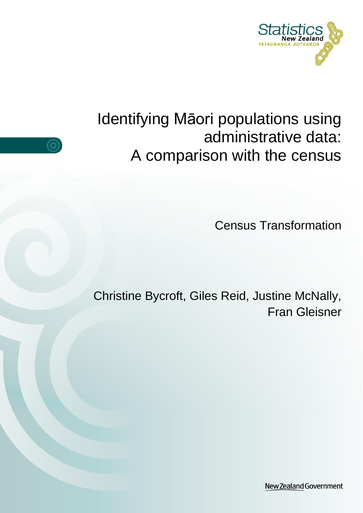

# Identifying Māori populations using administrative data: A comparison with the census

<u>(O</u>

Census Transformation

Christine Bycroft, Giles Reid, Justine McNally, Fran Gleisner

New Zealand Government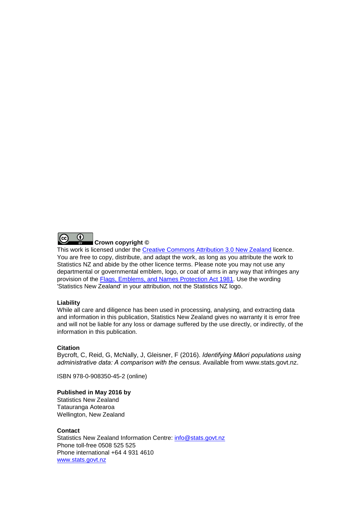

#### **Crown copyright ©**

This work is licensed under the [Creative Commons Attribution 3.0 New Zealand](http://creativecommons.org/licenses/by/3.0/nz/deed.en) licence. You are free to copy, distribute, and adapt the work, as long as you attribute the work to Statistics NZ and abide by the other licence terms. Please note you may not use any departmental or governmental emblem, logo, or coat of arms in any way that infringes any provision of the [Flags, Emblems, and Names Protection Act 1981.](http://www.legislation.govt.nz/act/public/1981/0047/latest/DLM51358.html) Use the wording 'Statistics New Zealand' in your attribution, not the Statistics NZ logo.

#### **Liability**

While all care and diligence has been used in processing, analysing, and extracting data and information in this publication, Statistics New Zealand gives no warranty it is error free and will not be liable for any loss or damage suffered by the use directly, or indirectly, of the information in this publication.

#### **Citation**

Bycroft, C, Reid, G, McNally, J, Gleisner, F (2016). *Identifying Māori populations using administrative data: A comparison with the census.* Available from www.stats.govt.nz.

ISBN 978-0-908350-45-2 (online)

#### **Published in May 2016 by**

Statistics New Zealand Tatauranga Aotearoa Wellington, New Zealand

#### **Contact**

Statistics New Zealand Information Centre: [info@stats.govt.nz](mailto:info@stats.govt.nz) Phone toll-free 0508 525 525 Phone international +64 4 931 4610 [www.stats.govt.nz](http://www.stats.govt.nz/)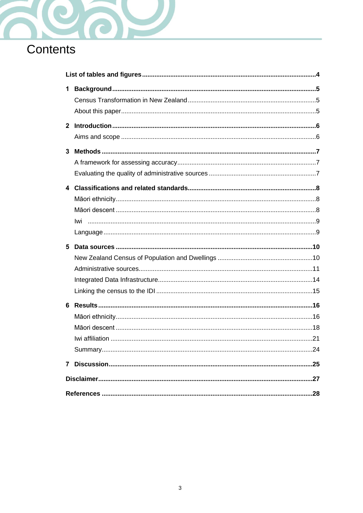

# Contents

| 1           |  |
|-------------|--|
| $2^{\circ}$ |  |
|             |  |
| 3           |  |
|             |  |
|             |  |
|             |  |
|             |  |
|             |  |
|             |  |
|             |  |
|             |  |
| 5           |  |
|             |  |
|             |  |
|             |  |
|             |  |
| 6           |  |
|             |  |
|             |  |
|             |  |
|             |  |
| 7           |  |
|             |  |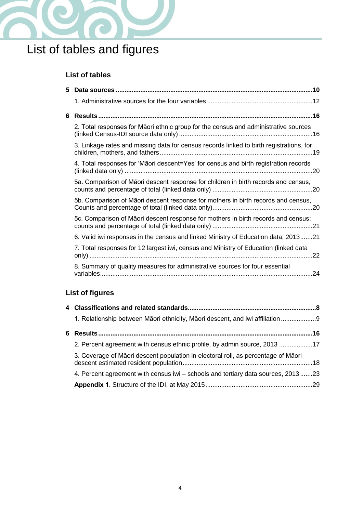

# <span id="page-3-0"></span>List of tables and figures

### **List of tables**

| 5. |                                                                                         |
|----|-----------------------------------------------------------------------------------------|
|    |                                                                                         |
| 6  |                                                                                         |
|    | 2. Total responses for Māori ethnic group for the census and administrative sources     |
|    | 3. Linkage rates and missing data for census records linked to birth registrations, for |
|    | 4. Total responses for 'Māori descent=Yes' for census and birth registration records    |
|    | 5a. Comparison of Māori descent response for children in birth records and census,      |
|    | 5b. Comparison of Māori descent response for mothers in birth records and census,       |
|    | 5c. Comparison of Māori descent response for mothers in birth records and census:       |
|    | 6. Valid iwi responses in the census and linked Ministry of Education data, 201321      |
|    | 7. Total responses for 12 largest iwi, census and Ministry of Education (linked data    |
|    | 8. Summary of quality measures for administrative sources for four essential            |

## **List of figures**

| 1. Relationship between Māori ethnicity, Māori descent, and iwi affiliation       |  |
|-----------------------------------------------------------------------------------|--|
|                                                                                   |  |
| 2. Percent agreement with census ethnic profile, by admin source, 2013 17         |  |
| 3. Coverage of Māori descent population in electoral roll, as percentage of Māori |  |
| 4. Percent agreement with census iwi - schools and tertiary data sources, 201323  |  |
|                                                                                   |  |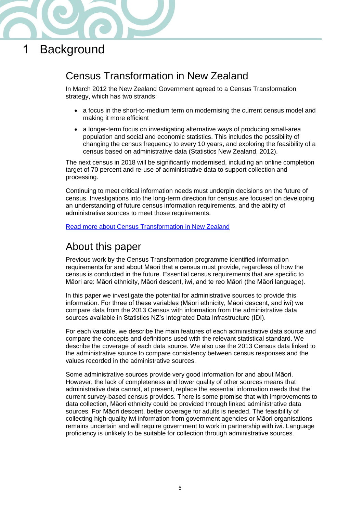

## <span id="page-4-0"></span>1 Background

## <span id="page-4-1"></span>Census Transformation in New Zealand

In March 2012 the New Zealand Government agreed to a Census Transformation strategy, which has two strands:

- a focus in the short-to-medium term on modernising the current census model and making it more efficient
- a longer-term focus on investigating alternative ways of producing small-area population and social and economic statistics. This includes the possibility of changing the census frequency to every 10 years, and exploring the feasibility of a census based on administrative data (Statistics New Zealand, 2012).

The next census in 2018 will be significantly modernised, including an online completion target of 70 percent and re-use of administrative data to support collection and processing.

Continuing to meet critical information needs must underpin decisions on the future of census. Investigations into the long-term direction for census are focused on developing an understanding of future census information requirements, and the ability of administrative sources to meet those requirements.

[Read more about Census Transformation in New Zealand](http://www.stats.govt.nz/Census/census-transformation-nz.aspx)

### <span id="page-4-2"></span>About this paper

Previous work by the Census Transformation programme identified information requirements for and about Māori that a census must provide, regardless of how the census is conducted in the future. Essential census requirements that are specific to Māori are: Māori ethnicity, Māori descent, iwi, and te reo Māori (the Māori language).

In this paper we investigate the potential for administrative sources to provide this information. For three of these variables (Māori ethnicity, Māori descent, and iwi) we compare data from the 2013 Census with information from the administrative data sources available in Statistics NZ's Integrated Data Infrastructure (IDI).

For each variable, we describe the main features of each administrative data source and compare the concepts and definitions used with the relevant statistical standard. We describe the coverage of each data source. We also use the 2013 Census data linked to the administrative source to compare consistency between census responses and the values recorded in the administrative sources.

Some administrative sources provide very good information for and about Māori. However, the lack of completeness and lower quality of other sources means that administrative data cannot, at present, replace the essential information needs that the current survey-based census provides. There is some promise that with improvements to data collection, Māori ethnicity could be provided through linked administrative data sources. For Māori descent, better coverage for adults is needed. The feasibility of collecting high-quality iwi information from government agencies or Māori organisations remains uncertain and will require government to work in partnership with iwi. Language proficiency is unlikely to be suitable for collection through administrative sources.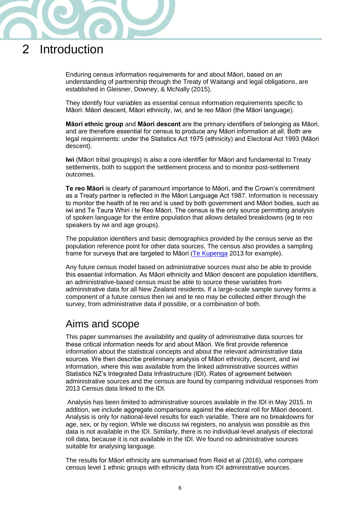## <span id="page-5-0"></span>2 Introduction

Enduring census information requirements for and about Māori, based on an understanding of partnership through the Treaty of Waitangi and legal obligations, are established in Gleisner, Downey, & McNally (2015).

They identify four variables as essential census information requirements specific to Māori: Māori descent, Māori ethnicity, iwi, and te reo Māori (the Māori language).

**Māori ethnic group** and **Māori descent** are the primary identifiers of belonging as Māori, and are therefore essential for census to produce any Māori information at all. Both are legal requirements: under the Statistics Act 1975 (ethnicity) and Electoral Act 1993 (Māori descent).

**Iwi** (Māori tribal groupings) is also a core identifier for Māori and fundamental to Treaty settlements, both to support the settlement process and to monitor post-settlement outcomes.

**Te reo Māori** is clearly of paramount importance to Māori, and the Crown's commitment as a Treaty partner is reflected in the Māori Language Act 1987. Information is necessary to monitor the health of te reo and is used by both government and Māori bodies, such as iwi and Te Taura Whiri i te Reo Māori. The census is the only source permitting analysis of spoken language for the entire population that allows detailed breakdowns (eg te reo speakers by iwi and age groups).

The population identifiers and basic demographics provided by the census serve as the population reference point for other data sources. The census also provides a sampling frame for surveys that are targeted to Māori [\(Te Kupenga](http://www.stats.govt.nz/browse_for_stats/people_and_communities/maori/te-kupenga.aspx) 2013 for example).

Any future census model based on administrative sources must also be able to provide this essential information. As Māori ethnicity and Māori descent are population identifiers, an administrative-based census must be able to source these variables from administrative data for all New Zealand residents. If a large-scale sample survey forms a component of a future census then iwi and te reo may be collected either through the survey, from administrative data if possible, or a combination of both.

### <span id="page-5-1"></span>Aims and scope

This paper summarises the availability and quality of administrative data sources for these critical information needs for and about Māori. We first provide reference information about the statistical concepts and about the relevant administrative data sources. We then describe preliminary analysis of Māori ethnicity, descent, and iwi information, where this was available from the linked administrative sources within Statistics NZ's Integrated Data Infrastructure (IDI). Rates of agreement between administrative sources and the census are found by comparing individual responses from 2013 Census data linked to the IDI.

Analysis has been limited to administrative sources available in the IDI in May 2015. In addition, we include aggregate comparisons against the electoral roll for Māori descent. Analysis is only for national-level results for each variable. There are no breakdowns for age, sex, or by region. While we discuss iwi registers, no analysis was possible as this data is not available in the IDI. Similarly, there is no individual-level analysis of electoral roll data, because it is not available in the IDI. We found no administrative sources suitable for analysing language.

The results for Māori ethnicity are summarised from Reid et al (2016), who compare census level 1 ethnic groups with ethnicity data from IDI administrative sources.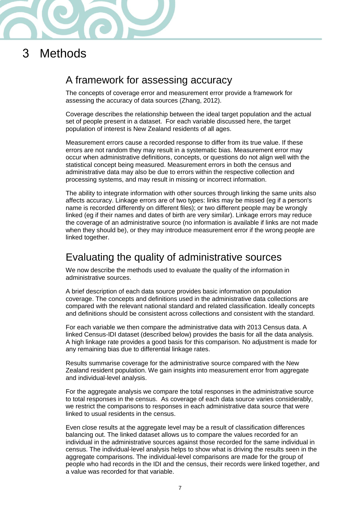

## <span id="page-6-0"></span>3 Methods

### <span id="page-6-1"></span>A framework for assessing accuracy

The concepts of coverage error and measurement error provide a framework for assessing the accuracy of data sources (Zhang, 2012).

Coverage describes the relationship between the ideal target population and the actual set of people present in a dataset. For each variable discussed here, the target population of interest is New Zealand residents of all ages.

Measurement errors cause a recorded response to differ from its true value. If these errors are not random they may result in a systematic bias. Measurement error may occur when administrative definitions, concepts, or questions do not align well with the statistical concept being measured. Measurement errors in both the census and administrative data may also be due to errors within the respective collection and processing systems, and may result in missing or incorrect information.

The ability to integrate information with other sources through linking the same units also affects accuracy. Linkage errors are of two types: links may be missed (eg if a person's name is recorded differently on different files); or two different people may be wrongly linked (eg if their names and dates of birth are very similar). Linkage errors may reduce the coverage of an administrative source (no information is available if links are not made when they should be), or they may introduce measurement error if the wrong people are linked together.

### <span id="page-6-2"></span>Evaluating the quality of administrative sources

We now describe the methods used to evaluate the quality of the information in administrative sources.

A brief description of each data source provides basic information on population coverage. The concepts and definitions used in the administrative data collections are compared with the relevant national standard and related classification. Ideally concepts and definitions should be consistent across collections and consistent with the standard.

For each variable we then compare the administrative data with 2013 Census data. A linked Census-IDI dataset (described below) provides the basis for all the data analysis. A high linkage rate provides a good basis for this comparison. No adjustment is made for any remaining bias due to differential linkage rates.

Results summarise coverage for the administrative source compared with the New Zealand resident population. We gain insights into measurement error from aggregate and individual-level analysis.

For the aggregate analysis we compare the total responses in the administrative source to total responses in the census. As coverage of each data source varies considerably, we restrict the comparisons to responses in each administrative data source that were linked to usual residents in the census.

Even close results at the aggregate level may be a result of classification differences balancing out. The linked dataset allows us to compare the values recorded for an individual in the administrative sources against those recorded for the same individual in census. The individual-level analysis helps to show what is driving the results seen in the aggregate comparisons. The individual-level comparisons are made for the group of people who had records in the IDI and the census, their records were linked together, and a value was recorded for that variable.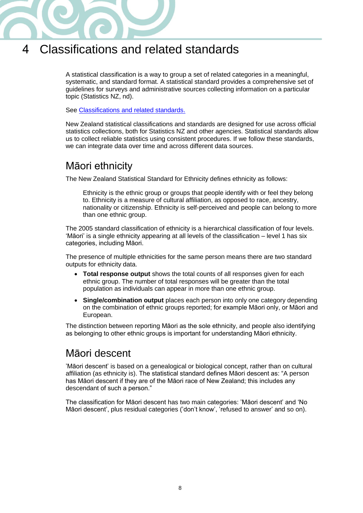

## <span id="page-7-0"></span>4 Classifications and related standards

A statistical classification is a way to group a set of related categories in a meaningful, systematic, and standard format. A statistical standard provides a comprehensive set of guidelines for surveys and administrative sources collecting information on a particular topic (Statistics NZ, nd).

See [Classifications and related standards.](http://www.stats.govt.nz/methods/classifications-and-standards/classification-related-stats-standards.aspx)

New Zealand statistical classifications and standards are designed for use across official statistics collections, both for Statistics NZ and other agencies. Statistical standards allow us to collect reliable statistics using consistent procedures. If we follow these standards, we can integrate data over time and across different data sources.

## <span id="page-7-1"></span>Māori ethnicity

The New Zealand Statistical Standard for Ethnicity defines ethnicity as follows:

Ethnicity is the ethnic group or groups that people identify with or feel they belong to. Ethnicity is a measure of cultural affiliation, as opposed to race, ancestry, nationality or citizenship. Ethnicity is self-perceived and people can belong to more than one ethnic group.

The 2005 standard classification of ethnicity is a hierarchical classification of four levels. 'Māori' is a single ethnicity appearing at all levels of the classification – level 1 has six categories, including Māori.

The presence of multiple ethnicities for the same person means there are two standard outputs for ethnicity data.

- **Total response output** shows the total counts of all responses given for each ethnic group. The number of total responses will be greater than the total population as individuals can appear in more than one ethnic group.
- **Single/combination output** places each person into only one category depending on the combination of ethnic groups reported; for example Māori only, or Māori and European.

The distinction between reporting Māori as the sole ethnicity, and people also identifying as belonging to other ethnic groups is important for understanding Māori ethnicity.

### <span id="page-7-2"></span>Māori descent

'Māori descent' is based on a genealogical or biological concept, rather than on cultural affiliation (as ethnicity is). The statistical standard defines Māori descent as: "A person has Māori descent if they are of the Māori race of New Zealand; this includes any descendant of such a person."

<span id="page-7-3"></span>The classification for Māori descent has two main categories: 'Māori descent' and 'No Māori descent', plus residual categories ('don't know', 'refused to answer' and so on).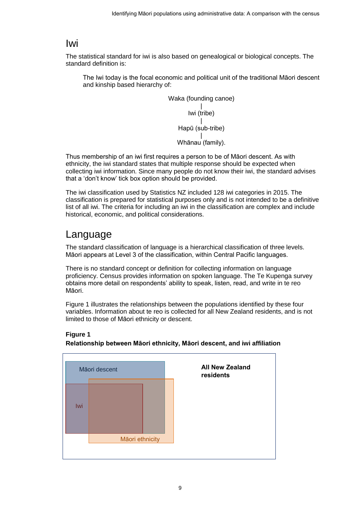### Iwi

The statistical standard for iwi is also based on genealogical or biological concepts. The standard definition is:

The Iwi today is the focal economic and political unit of the traditional Māori descent and kinship based hierarchy of:

> Waka (founding canoe) | Iwi (tribe) | Hapū (sub-tribe) | Whānau (family).

Thus membership of an iwi first requires a person to be of Māori descent. As with ethnicity, the iwi standard states that multiple response should be expected when collecting iwi information. Since many people do not know their iwi, the standard advises that a 'don't know' tick box option should be provided.

The iwi classification used by Statistics NZ included 128 iwi categories in 2015. The classification is prepared for statistical purposes only and is not intended to be a definitive list of all iwi. The criteria for including an iwi in the classification are complex and include historical, economic, and political considerations.

## <span id="page-8-0"></span>Language

The standard classification of language is a hierarchical classification of three levels. Māori appears at Level 3 of the classification, within Central Pacific languages.

There is no standard concept or definition for collecting information on language proficiency. Census provides information on spoken language. The Te Kupenga survey obtains more detail on respondents' ability to speak, listen, read, and write in te reo Māori.

Figure 1 illustrates the relationships between the populations identified by these four variables. Information about te reo is collected for all New Zealand residents, and is not limited to those of Māori ethnicity or descent.



#### <span id="page-8-1"></span>1. Relationship between Māori ethnicity, Māori descent, and iwi affiliation **Relationship between Māori ethnicity, Māori descent, and iwi affiliation**

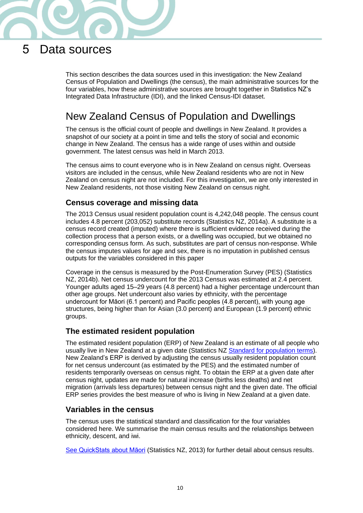

## <span id="page-9-0"></span>5 Data sources

This section describes the data sources used in this investigation: the New Zealand Census of Population and Dwellings (the census), the main administrative sources for the four variables, how these administrative sources are brought together in Statistics NZ's Integrated Data Infrastructure (IDI), and the linked Census-IDI dataset.

## <span id="page-9-1"></span>New Zealand Census of Population and Dwellings

The census is the official count of people and dwellings in New Zealand. It provides a snapshot of our society at a point in time and tells the story of social and economic change in New Zealand. The census has a wide range of uses within and outside government. The latest census was held in March 2013.

The census aims to count everyone who is in New Zealand on census night. Overseas visitors are included in the census, while New Zealand residents who are not in New Zealand on census night are not included. For this investigation, we are only interested in New Zealand residents, not those visiting New Zealand on census night.

#### **Census coverage and missing data**

The 2013 Census usual resident population count is 4,242,048 people. The census count includes 4.8 percent (203,052) substitute records (Statistics NZ, 2014a). A substitute is a census record created (imputed) where there is sufficient evidence received during the collection process that a person exists, or a dwelling was occupied, but we obtained no corresponding census form. As such, substitutes are part of census non-response. While the census imputes values for age and sex, there is no imputation in published census outputs for the variables considered in this paper

Coverage in the census is measured by the Post-Enumeration Survey (PES) (Statistics NZ, 2014b). Net census undercount for the 2013 Census was estimated at 2.4 percent. Younger adults aged 15–29 years (4.8 percent) had a higher percentage undercount than other age groups. Net undercount also varies by ethnicity, with the percentage undercount for Māori (6.1 percent) and Pacific peoples (4.8 percent), with young age structures, being higher than for Asian (3.0 percent) and European (1.9 percent) ethnic groups.

#### **The estimated resident population**

The estimated resident population (ERP) of New Zealand is an estimate of all people who usually live in New Zealand at a given date (Statistics NZ [Standard for population terms\)](http://www.stats.govt.nz/browse_for_stats/population/standard-pop-terms.aspx). New Zealand's ERP is derived by adjusting the census usually resident population count for net census undercount (as estimated by the PES) and the estimated number of residents temporarily overseas on census night. To obtain the ERP at a given date after census night, updates are made for natural increase (births less deaths) and net migration (arrivals less departures) between census night and the given date. The official ERP series provides the best measure of who is living in New Zealand at a given date.

#### **Variables in the census**

The census uses the statistical standard and classification for the four variables considered here. We summarise the main census results and the relationships between ethnicity, descent, and iwi.

[See QuickStats about Māori](http://www.stats.govt.nz/Census/2013-census/profile-and-summary-reports/quickstats-about-maori-english.aspx) (Statistics NZ, 2013) for further detail about census results.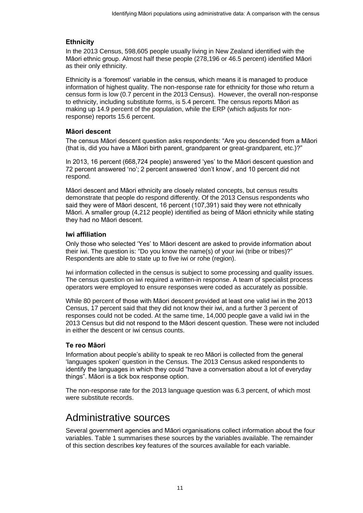#### **Ethnicity**

In the 2013 Census, 598,605 people usually living in New Zealand identified with the Māori ethnic group. Almost half these people (278,196 or 46.5 percent) identified Māori as their only ethnicity.

Ethnicity is a 'foremost' variable in the census, which means it is managed to produce information of highest quality. The non-response rate for ethnicity for those who return a census form is low (0.7 percent in the 2013 Census). However, the overall non-response to ethnicity, including substitute forms, is 5.4 percent. The census reports Māori as making up 14.9 percent of the population, while the ERP (which adjusts for nonresponse) reports 15.6 percent.

#### **Māori descent**

The census Māori descent question asks respondents: "Are you descended from a Māori (that is, did you have a Māori birth parent, grandparent or great-grandparent, etc.)?"

In 2013, 16 percent (668,724 people) answered 'yes' to the Māori descent question and 72 percent answered 'no'; 2 percent answered 'don't know', and 10 percent did not respond.

Māori descent and Māori ethnicity are closely related concepts, but census results demonstrate that people do respond differently. Of the 2013 Census respondents who said they were of Māori descent, 16 percent (107,391) said they were not ethnically Māori. A smaller group (4,212 people) identified as being of Māori ethnicity while stating they had no Māori descent.

#### **Iwi affiliation**

Only those who selected 'Yes' to Māori descent are asked to provide information about their iwi. The question is: "Do you know the name(s) of your iwi (tribe or tribes)?" Respondents are able to state up to five iwi or rohe (region).

Iwi information collected in the census is subject to some processing and quality issues. The census question on iwi required a written-in response. A team of specialist process operators were employed to ensure responses were coded as accurately as possible.

While 80 percent of those with Māori descent provided at least one valid iwi in the 2013 Census, 17 percent said that they did not know their iwi, and a further 3 percent of responses could not be coded. At the same time, 14,000 people gave a valid iwi in the 2013 Census but did not respond to the Māori descent question. These were not included in either the descent or iwi census counts.

#### **Te reo Māori**

Information about people's ability to speak te reo Māori is collected from the general 'languages spoken' question in the Census. The 2013 Census asked respondents to identify the languages in which they could "have a conversation about a lot of everyday things". Māori is a tick box response option.

The non-response rate for the 2013 language question was 6.3 percent, of which most were substitute records.

### <span id="page-10-0"></span>Administrative sources

Several government agencies and Māori organisations collect information about the four variables. Table 1 summarises these sources by the variables available. The remainder of this section describes key features of the sources available for each variable.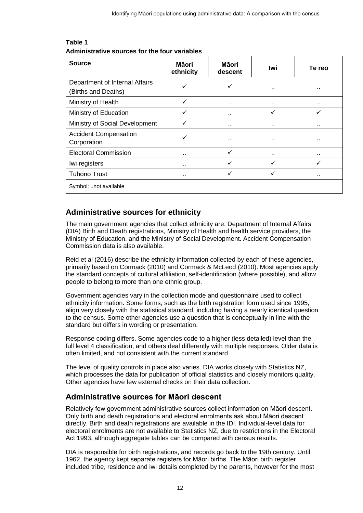<span id="page-11-0"></span>

| <b>Source</b>                                         | Māori<br>ethnicity | Māori<br>descent     | lwi                  | Te reo |
|-------------------------------------------------------|--------------------|----------------------|----------------------|--------|
| Department of Internal Affairs<br>(Births and Deaths) |                    |                      |                      | . .    |
| Ministry of Health                                    | ✓                  | $\ddot{\phantom{a}}$ |                      |        |
| Ministry of Education                                 | ✓                  | $\ddot{\phantom{0}}$ |                      |        |
| Ministry of Social Development                        |                    | $\ddot{\phantom{0}}$ |                      |        |
| <b>Accident Compensation</b><br>Corporation           |                    | $\ddot{\phantom{a}}$ | $\ddot{\phantom{0}}$ |        |
| <b>Electoral Commission</b>                           |                    | ✓                    | $\ddot{\phantom{0}}$ |        |
| Iwi registers                                         |                    |                      |                      |        |
| <b>Tūhono Trust</b>                                   | $\sim$             | ✓                    |                      |        |
| Symbol: not available                                 |                    |                      |                      |        |

#### **Table 1** 1. Administrative sources for the four variables **Administrative sources for the four variables**

#### **Administrative sources for ethnicity**

The main government agencies that collect ethnicity are: Department of Internal Affairs (DIA) Birth and Death registrations, Ministry of Health and health service providers, the Ministry of Education, and the Ministry of Social Development. Accident Compensation Commission data is also available.

Reid et al (2016) describe the ethnicity information collected by each of these agencies, primarily based on Cormack (2010) and Cormack & McLeod (2010). Most agencies apply the standard concepts of cultural affiliation, self-identification (where possible), and allow people to belong to more than one ethnic group.

Government agencies vary in the collection mode and questionnaire used to collect ethnicity information. Some forms, such as the birth registration form used since 1995, align very closely with the statistical standard, including having a nearly identical question to the census. Some other agencies use a question that is conceptually in line with the standard but differs in wording or presentation.

Response coding differs. Some agencies code to a higher (less detailed) level than the full level 4 classification, and others deal differently with multiple responses. Older data is often limited, and not consistent with the current standard.

The level of quality controls in place also varies. DIA works closely with Statistics NZ, which processes the data for publication of official statistics and closely monitors quality. Other agencies have few external checks on their data collection.

### **Administrative sources for Māori descent**

Relatively few government administrative sources collect information on Māori descent. Only birth and death registrations and electoral enrolments ask about Māori descent directly. Birth and death registrations are available in the IDI. Individual-level data for electoral enrolments are not available to Statistics NZ, due to restrictions in the Electoral Act 1993, although aggregate tables can be compared with census results.

DIA is responsible for birth registrations, and records go back to the 19th century. Until 1962, the agency kept separate registers for Māori births. The Māori birth register included tribe, residence and iwi details completed by the parents, however for the most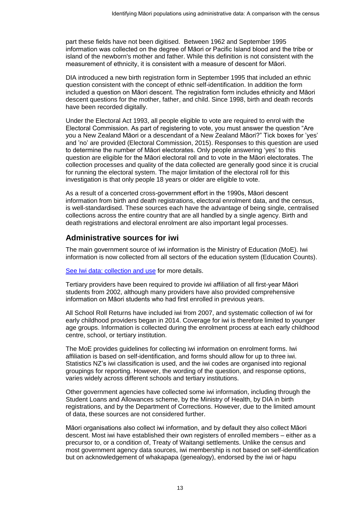part these fields have not been digitised. Between 1962 and September 1995 information was collected on the degree of Māori or Pacific Island blood and the tribe or island of the newborn's mother and father. While this definition is not consistent with the measurement of ethnicity, it is consistent with a measure of descent for Māori.

DIA introduced a new birth registration form in September 1995 that included an ethnic question consistent with the concept of ethnic self-identification. In addition the form included a question on Māori descent. The registration form includes ethnicity and Māori descent questions for the mother, father, and child. Since 1998, birth and death records have been recorded digitally.

Under the Electoral Act 1993, all people eligible to vote are required to enrol with the Electoral Commission. As part of registering to vote, you must answer the question "Are you a New Zealand Māori or a descendant of a New Zealand Māori?" Tick boxes for 'yes' and 'no' are provided (Electoral Commission, 2015). Responses to this question are used to determine the number of Māori electorates. Only people answering 'yes' to this question are eligible for the Māori electoral roll and to vote in the Māori electorates. The collection processes and quality of the data collected are generally good since it is crucial for running the electoral system. The major limitation of the electoral roll for this investigation is that only people 18 years or older are eligible to vote.

As a result of a concerted cross-government effort in the 1990s, Māori descent information from birth and death registrations, electoral enrolment data, and the census, is well-standardised. These sources each have the advantage of being single, centralised collections across the entire country that are all handled by a single agency. Birth and death registrations and electoral enrolment are also important legal processes.

#### **Administrative sources for iwi**

The main government source of iwi information is the Ministry of Education (MoE). Iwi information is now collected from all sectors of the education system (Education Counts).

[See Iwi data: collection and use](http://www.educationcounts.govt.nz/data-services/collecting-information/code-sets-and-classifications/iwi_data__collection_and_use) for more details.

Tertiary providers have been required to provide iwi affiliation of all first-year Māori students from 2002, although many providers have also provided comprehensive information on Māori students who had first enrolled in previous years.

All School Roll Returns have included iwi from 2007, and systematic collection of iwi for early childhood providers began in 2014. Coverage for iwi is therefore limited to younger age groups. Information is collected during the enrolment process at each early childhood centre, school, or tertiary institution.

The MoE provides guidelines for collecting iwi information on enrolment forms. Iwi affiliation is based on self-identification, and forms should allow for up to three iwi. Statistics NZ's iwi classification is used, and the iwi codes are organised into regional groupings for reporting. However, the wording of the question, and response options, varies widely across different schools and tertiary institutions.

Other government agencies have collected some iwi information, including through the Student Loans and Allowances scheme, by the Ministry of Health, by DIA in birth registrations, and by the Department of Corrections. However, due to the limited amount of data, these sources are not considered further.

Māori organisations also collect iwi information, and by default they also collect Māori descent. Most iwi have established their own registers of enrolled members – either as a precursor to, or a condition of, Treaty of Waitangi settlements. Unlike the census and most government agency data sources, iwi membership is not based on self-identification but on acknowledgement of whakapapa (genealogy), endorsed by the iwi or hapu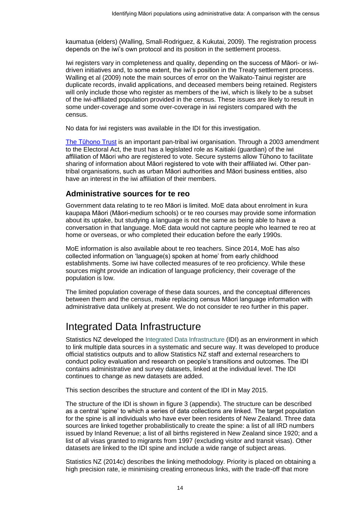kaumatua (elders) (Walling, Small-Rodriguez, & Kukutai, 2009). The registration process depends on the iwi's own protocol and its position in the settlement process.

Iwi registers vary in completeness and quality, depending on the success of Māori- or iwidriven initiatives and, to some extent, the iwi's position in the Treaty settlement process. Walling et al (2009) note the main sources of error on the Waikato-Tainui register are duplicate records, invalid applications, and deceased members being retained. Registers will only include those who register as members of the iwi, which is likely to be a subset of the iwi-affiliated population provided in the census. These issues are likely to result in some under-coverage and some over-coverage in iwi registers compared with the census.

No data for iwi registers was available in the IDI for this investigation.

[The Tūhono Trust](http://www.tuhono.net/en/about-tuhono) is an important pan-tribal iwi organisation. Through a 2003 amendment to the Electoral Act, the trust has a legislated role as Kaitiaki (guardian) of the iwi affiliation of Māori who are registered to vote. Secure systems allow Tūhono to facilitate sharing of information about Māori registered to vote with their affiliated iwi. Other pantribal organisations, such as urban Māori authorities and Māori business entities, also have an interest in the iwi affiliation of their members.

#### **Administrative sources for te reo**

Government data relating to te reo Māori is limited. MoE data about enrolment in kura kaupapa Māori (Māori-medium schools) or te reo courses may provide some information about its uptake, but studying a language is not the same as being able to have a conversation in that language. MoE data would not capture people who learned te reo at home or overseas, or who completed their education before the early 1990s.

MoE information is also available about te reo teachers. Since 2014, MoE has also collected information on 'language(s) spoken at home' from early childhood establishments. Some iwi have collected measures of te reo proficiency. While these sources might provide an indication of language proficiency, their coverage of the population is low.

The limited population coverage of these data sources, and the conceptual differences between them and the census, make replacing census Māori language information with administrative data unlikely at present. We do not consider te reo further in this paper.

## <span id="page-13-0"></span>Integrated Data Infrastructure

Statistics NZ developed the [Integrated Data Infrastructure](http://www.stats.govt.nz/idi) (IDI) as an environment in which to link multiple data sources in a systematic and secure way. It was developed to produce official statistics outputs and to allow Statistics NZ staff and external researchers to conduct policy evaluation and research on people's transitions and outcomes. The IDI contains administrative and survey datasets, linked at the individual level. The IDI continues to change as new datasets are added.

This section describes the structure and content of the IDI in May 2015.

The structure of the IDI is shown in figure 3 (appendix). The structure can be described as a central 'spine' to which a series of data collections are linked. The target population for the spine is all individuals who have ever been residents of New Zealand. Three data sources are linked together probabilistically to create the spine: a list of all IRD numbers issued by Inland Revenue; a list of all births registered in New Zealand since 1920; and a list of all visas granted to migrants from 1997 (excluding visitor and transit visas). Other datasets are linked to the IDI spine and include a wide range of subject areas.

Statistics NZ (2014c) describes the linking methodology. Priority is placed on obtaining a high precision rate, ie minimising creating erroneous links, with the trade-off that more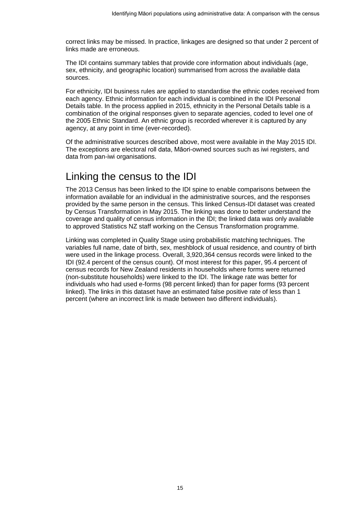correct links may be missed. In practice, linkages are designed so that under 2 percent of links made are erroneous.

The IDI contains summary tables that provide core information about individuals (age, sex, ethnicity, and geographic location) summarised from across the available data sources.

For ethnicity, IDI business rules are applied to standardise the ethnic codes received from each agency. Ethnic information for each individual is combined in the IDI Personal Details table. In the process applied in 2015, ethnicity in the Personal Details table is a combination of the original responses given to separate agencies, coded to level one of the 2005 Ethnic Standard. An ethnic group is recorded wherever it is captured by any agency, at any point in time (ever-recorded).

Of the administrative sources described above, most were available in the May 2015 IDI. The exceptions are electoral roll data, Māori-owned sources such as iwi registers, and data from pan-iwi organisations.

### <span id="page-14-0"></span>Linking the census to the IDI

The 2013 Census has been linked to the IDI spine to enable comparisons between the information available for an individual in the administrative sources, and the responses provided by the same person in the census. This linked Census-IDI dataset was created by Census Transformation in May 2015. The linking was done to better understand the coverage and quality of census information in the IDI; the linked data was only available to approved Statistics NZ staff working on the Census Transformation programme.

Linking was completed in Quality Stage using probabilistic matching techniques. The variables full name, date of birth, sex, meshblock of usual residence, and country of birth were used in the linkage process. Overall, 3,920,364 census records were linked to the IDI (92.4 percent of the census count). Of most interest for this paper, 95.4 percent of census records for New Zealand residents in households where forms were returned (non-substitute households) were linked to the IDI. The linkage rate was better for individuals who had used e-forms (98 percent linked) than for paper forms (93 percent linked). The links in this dataset have an estimated false positive rate of less than 1 percent (where an incorrect link is made between two different individuals).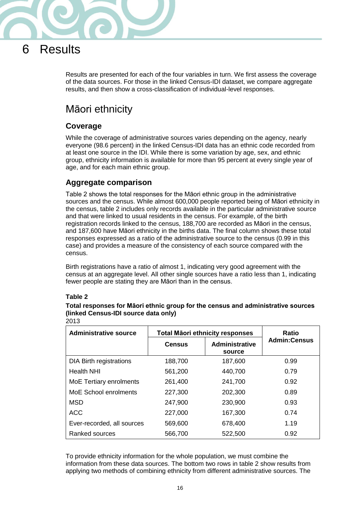

## <span id="page-15-0"></span>6 Results

Results are presented for each of the four variables in turn. We first assess the coverage of the data sources. For those in the linked Census-IDI dataset, we compare aggregate results, and then show a cross-classification of individual-level responses.

## <span id="page-15-1"></span>Māori ethnicity

#### **Coverage**

While the coverage of administrative sources varies depending on the agency, nearly everyone (98.6 percent) in the linked Census-IDI data has an ethnic code recorded from at least one source in the IDI. While there is some variation by age, sex, and ethnic group, ethnicity information is available for more than 95 percent at every single year of age, and for each main ethnic group.

#### **Aggregate comparison**

Table 2 shows the total responses for the Māori ethnic group in the administrative sources and the census. While almost 600,000 people reported being of Māori ethnicity in the census, table 2 includes only records available in the particular administrative source and that were linked to usual residents in the census. For example, of the birth registration records linked to the census, 188,700 are recorded as Māori in the census, and 187,600 have Māori ethnicity in the births data. The final column shows these total responses expressed as a ratio of the administrative source to the census (0.99 in this case) and provides a measure of the consistency of each source compared with the census.

Birth registrations have a ratio of almost 1, indicating very good agreement with the census at an aggregate level. All other single sources have a ratio less than 1, indicating fewer people are stating they are Māori than in the census.

#### **Table 2**

#### <span id="page-15-2"></span>**Total responses for Māori ethnic group for the census and administrative sources (linked Census-IDI source data only)** 2013

| <b>Administrative source</b>   | <b>Ratio</b>  |                                 |                     |
|--------------------------------|---------------|---------------------------------|---------------------|
|                                | <b>Census</b> | <b>Administrative</b><br>source | <b>Admin:Census</b> |
| <b>DIA Birth registrations</b> | 188,700       | 187,600                         | 0.99                |
| <b>Health NHI</b>              | 561,200       | 440,700                         | 0.79                |
| MoE Tertiary enrolments        | 261,400       | 241,700                         | 0.92                |
| <b>MoE School enrolments</b>   | 227,300       | 202,300                         | 0.89                |
| <b>MSD</b>                     | 247,900       | 230,900                         | 0.93                |
| <b>ACC</b>                     | 227,000       | 167,300                         | 0.74                |
| Ever-recorded, all sources     | 569,600       | 678,400                         | 1.19                |
| Ranked sources                 | 566,700       | 522,500                         | 0.92                |

To provide ethnicity information for the whole population, we must combine the information from these data sources. The bottom two rows in table 2 show results from applying two methods of combining ethnicity from different administrative sources. The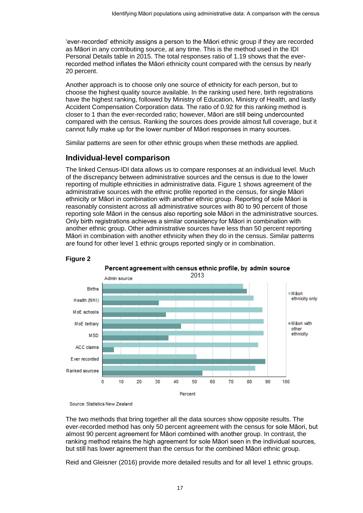'ever-recorded' ethnicity assigns a person to the Māori ethnic group if they are recorded as Māori in any contributing source, at any time. This is the method used in the IDI Personal Details table in 2015. The total responses ratio of 1.19 shows that the everrecorded method inflates the Māori ethnicity count compared with the census by nearly 20 percent.

Another approach is to choose only one source of ethnicity for each person, but to choose the highest quality source available. In the ranking used here, birth registrations have the highest ranking, followed by Ministry of Education, Ministry of Health, and lastly Accident Compensation Corporation data. The ratio of 0.92 for this ranking method is closer to 1 than the ever-recorded ratio; however, Māori are still being undercounted compared with the census. Ranking the sources does provide almost full coverage, but it cannot fully make up for the lower number of Māori responses in many sources.

Similar patterns are seen for other ethnic groups when these methods are applied.

#### **Individual-level comparison**

The linked Census-IDI data allows us to compare responses at an individual level. Much of the discrepancy between administrative sources and the census is due to the lower reporting of multiple ethnicities in administrative data. Figure 1 shows agreement of the administrative sources with the ethnic profile reported in the census, for single Māori ethnicity or Māori in combination with another ethnic group. Reporting of sole Māori is reasonably consistent across all administrative sources with 80 to 90 percent of those reporting sole Māori in the census also reporting sole Māori in the administrative sources. Only birth registrations achieves a similar consistency for Māori in combination with another ethnic group. Other administrative sources have less than 50 percent reporting Māori in combination with another ethnicity when they do in the census. Similar patterns are found for other level 1 ethnic groups reported singly or in combination.

<span id="page-16-0"></span>

#### **Figure 2**

Source: Statistics New Zealand

The two methods that bring together all the data sources show opposite results. The ever-recorded method has only 50 percent agreement with the census for sole Māori, but almost 90 percent agreement for Māori combined with another group. In contrast, the ranking method retains the high agreement for sole Māori seen in the individual sources, but still has lower agreement than the census for the combined Māori ethnic group.

Reid and Gleisner (2016) provide more detailed results and for all level 1 ethnic groups.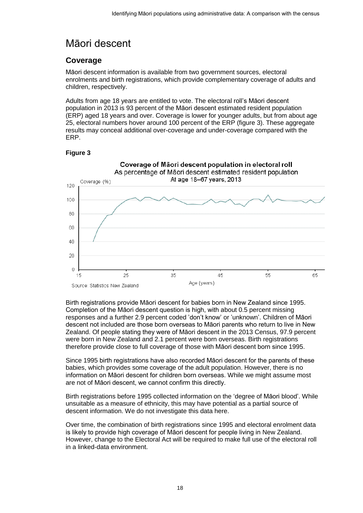## <span id="page-17-0"></span>Māori descent

#### **Coverage**

Māori descent information is available from two government sources, electoral enrolments and birth registrations, which provide complementary coverage of adults and children, respectively.

Adults from age 18 years are entitled to vote. The electoral roll's Māori descent population in 2013 is 93 percent of the Māori descent estimated resident population (ERP) aged 18 years and over. Coverage is lower for younger adults, but from about age 25, electoral numbers hover around 100 percent of the ERP (figure 3). These aggregate results may conceal additional over-coverage and under-coverage compared with the ERP.

#### **Figure 3**

<span id="page-17-1"></span>

Birth registrations provide Māori descent for babies born in New Zealand since 1995. Completion of the Māori descent question is high, with about 0.5 percent missing responses and a further 2.9 percent coded 'don't know' or 'unknown'. Children of Māori descent not included are those born overseas to Māori parents who return to live in New Zealand. Of people stating they were of Māori descent in the 2013 Census, 97.9 percent were born in New Zealand and 2.1 percent were born overseas. Birth registrations therefore provide close to full coverage of those with Māori descent born since 1995.

Since 1995 birth registrations have also recorded Māori descent for the parents of these babies, which provides some coverage of the adult population. However, there is no information on Māori descent for children born overseas. While we might assume most are not of Māori descent, we cannot confirm this directly.

Birth registrations before 1995 collected information on the 'degree of Māori blood'. While unsuitable as a measure of ethnicity, this may have potential as a partial source of descent information. We do not investigate this data here.

Over time, the combination of birth registrations since 1995 and electoral enrolment data is likely to provide high coverage of Māori descent for people living in New Zealand. However, change to the Electoral Act will be required to make full use of the electoral roll in a linked-data environment.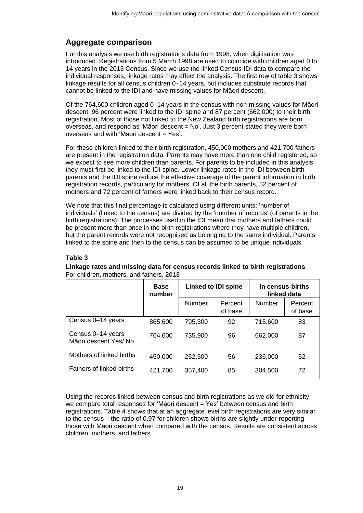#### **Aggregate comparison**

For this analysis we use birth registrations data from 1998, when digitisation was introduced. Registrations from 5 March 1998 are used to coincide with children aged 0 to 14 years in the 2013 Census. Since we use the linked Census-IDI data to compare the individual responses, linkage rates may affect the analysis. The first row of table 3 shows linkage results for all census children 0–14 years, but includes substitute records that cannot be linked to the IDI and have missing values for Māori descent.

Of the 764,600 children aged 0–14 years in the census with non-missing values for Māori descent, 96 percent were linked to the IDI spine and 87 percent (662,000) to their birth registration. Most of those not linked to the New Zealand birth registrations are born overseas, and respond as 'Māori descent = No'. Just 3 percent stated they were born overseas and with 'Māori descent = Yes'.

For these children linked to their birth registration, 450,000 mothers and 421,700 fathers are present in the registration data. Parents may have more than one child registered, so we expect to see more children than parents. For parents to be included in this analysis, they must first be linked to the IDI spine. Lower linkage rates in the IDI between birth parents and the IDI spine reduce the effective coverage of the parent information in birth registration records, particularly for mothers. Of all the birth parents, 52 percent of mothers and 72 percent of fathers were linked back to their census record.

We note that this final percentage is calculated using different units: 'number of individuals' (linked to the census) are divided by the 'number of records' (of parents in the birth registrations). The processes used in the IDI mean that mothers and fathers could be present more than once in the birth registrations where they have multiple children, but the parent records were not recognised as belonging to the same individual. Parents linked to the spine and then to the census can be assumed to be unique individuals.

#### **Table 3**

#### <span id="page-18-0"></span>**Linkage rates and missing data for census records linked to birth registrations**  For children, mothers, and fathers, 2013

|                                           | <b>Base</b><br>number | <b>Linked to IDI spine</b> |                    | In census-births<br>linked data |                    |
|-------------------------------------------|-----------------------|----------------------------|--------------------|---------------------------------|--------------------|
|                                           |                       | <b>Number</b>              | Percent<br>of base | <b>Number</b>                   | Percent<br>of base |
| Census 0-14 years                         | 865,600               | 795,300                    | 92                 | 715,600                         | 83                 |
| Census 0-14 years<br>Māori descent Yes/No | 764,600               | 735,900                    | 96                 | 662,000                         | 87                 |
| Mothers of linked births                  | 450,000               | 252,500                    | 56                 | 236,000                         | 52                 |
| Fathers of linked births                  | 421,700               | 357,400                    | 85                 | 304,500                         | 72                 |

Using the records linked between census and birth registrations as we did for ethnicity, we compare total responses for 'Māori descent = Yes' between census and birth registrations. Table 4 shows that at an aggregate level birth registrations are very similar to the census – the ratio of 0.97 for children shows births are slightly under-reporting those with Māori descent when compared with the census. Results are consistent across children, mothers, and fathers.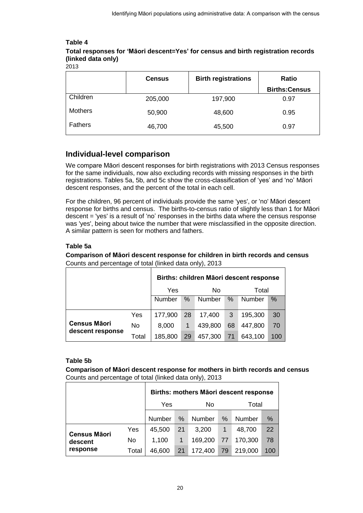#### **Table 4**

#### <span id="page-19-0"></span>**Total responses for 'Māori descent=Yes' for census and birth registration records (linked data only)**

|                | <b>Census</b> | <b>Birth registrations</b> | Ratio                |
|----------------|---------------|----------------------------|----------------------|
|                |               |                            | <b>Births:Census</b> |
| Children       | 205,000       | 197,900                    | 0.97                 |
| <b>Mothers</b> | 50,900        | 48,600                     | 0.95                 |
| <b>Fathers</b> | 46,700        | 45,500                     | 0.97                 |

#### **Individual-level comparison**

We compare Māori descent responses for birth registrations with 2013 Census responses for the same individuals, now also excluding records with missing responses in the birth registrations. Tables 5a, 5b, and 5c show the cross-classification of 'yes' and 'no' Māori descent responses, and the percent of the total in each cell.

For the children, 96 percent of individuals provide the same 'yes', or 'no' Māori descent response for births and census. The births-to-census ratio of slightly less than 1 for Māori descent = 'yes' is a result of 'no' responses in the births data where the census response was 'yes', being about twice the number that were misclassified in the opposite direction. A similar pattern is seen for mothers and fathers.

#### **Table 5a**

<span id="page-19-1"></span>**Comparison of Māori descent response for children in birth records and census** Counts and percentage of total (linked data only), 2013

|                     |       | Births: children Māori descent response |    |         |       |         |      |
|---------------------|-------|-----------------------------------------|----|---------|-------|---------|------|
|                     |       | Yes                                     | No |         | Total |         |      |
|                     |       | Number                                  | %  | Number  | $\%$  | Number  | $\%$ |
|                     | Yes   | 177,900                                 | 28 | 17,400  | 3     | 195,300 | 30   |
| <b>Census Māori</b> | No    | 8,000                                   | 1  | 439,800 | 68    | 447,800 | 70   |
| descent response    | Total | 185,800                                 | 29 | 457,300 | 71    | 643,100 | 100  |

#### **Table 5b**

<span id="page-19-2"></span>**Comparison of Māori descent response for mothers in birth records and census**  Counts and percentage of total (linked data only), 2013

|                     |       | Births: mothers Māori descent response |    |         |    |         |     |  |
|---------------------|-------|----------------------------------------|----|---------|----|---------|-----|--|
|                     |       | Yes                                    |    | No      |    | Total   |     |  |
|                     |       | Number                                 | %  | Number  | %  | Number  | ℅   |  |
| <b>Census Māori</b> | Yes   | 45,500                                 | 21 | 3,200   | 1  | 48,700  | 22  |  |
| descent             | No    | 1,100                                  | 1  | 169,200 | 77 | 170,300 | 78  |  |
| response            | Total | 46,600                                 | 21 | 172,400 | 79 | 219,000 | 100 |  |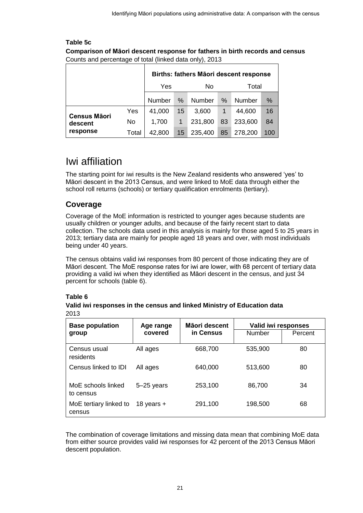#### <span id="page-20-1"></span>**Table 5c Comparison of Māori descent response for fathers in birth records and census** Counts and percentage of total (linked data only), 2013

|                     |       | Births: fathers Māori descent response |    |         |       |         |     |
|---------------------|-------|----------------------------------------|----|---------|-------|---------|-----|
|                     | Yes   |                                        | No |         | Total |         |     |
|                     |       | <b>Number</b>                          | %  | Number  | %     | Number  | %   |
| <b>Census Māori</b> | Yes   | 41,000                                 | 15 | 3,600   |       | 44,600  | 16  |
| descent             | No    | 1,700                                  | 1  | 231,800 | 83    | 233,600 | 84  |
| response            | Total | 42,800                                 | 15 | 235,400 | 85    | 278,200 | 100 |

## <span id="page-20-0"></span>Iwi affiliation

The starting point for iwi results is the New Zealand residents who answered 'yes' to Māori descent in the 2013 Census, and were linked to MoE data through either the school roll returns (schools) or tertiary qualification enrolments (tertiary).

#### **Coverage**

Coverage of the MoE information is restricted to younger ages because students are usually children or younger adults, and because of the fairly recent start to data collection. The schools data used in this analysis is mainly for those aged 5 to 25 years in 2013; tertiary data are mainly for people aged 18 years and over, with most individuals being under 40 years.

The census obtains valid iwi responses from 80 percent of those indicating they are of Māori descent. The MoE response rates for iwi are lower, with 68 percent of tertiary data providing a valid iwi when they identified as Māori descent in the census, and just 34 percent for schools (table 6).

#### **Table 6**

#### <span id="page-20-2"></span>**Valid iwi responses in the census and linked Ministry of Education data**  2013

| <b>Base population</b>           | Age range      | Māori descent | Valid iwi responses |         |  |
|----------------------------------|----------------|---------------|---------------------|---------|--|
| group                            | covered        | in Census     | Number              | Percent |  |
| Census usual<br>residents        | All ages       | 668,700       | 535,900             | 80      |  |
| Census linked to IDI             | All ages       | 640,000       | 513,600             | 80      |  |
| MoE schools linked<br>to census  | $5 - 25$ years | 253,100       | 86,700              | 34      |  |
| MoE tertiary linked to<br>census | 18 years $+$   | 291,100       | 198,500             | 68      |  |

The combination of coverage limitations and missing data mean that combining MoE data from either source provides valid iwi responses for 42 percent of the 2013 Census Māori descent population.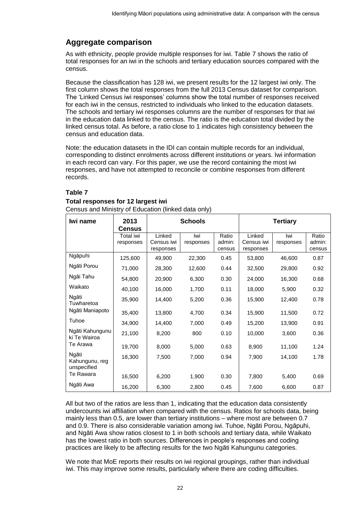### **Aggregate comparison**

As with ethnicity, people provide multiple responses for iwi. Table 7 shows the ratio of total responses for an iwi in the schools and tertiary education sources compared with the census.

Because the classification has 128 iwi, we present results for the 12 largest iwi only. The first column shows the total responses from the full 2013 Census dataset for comparison. The 'Linked Census iwi responses' columns show the total number of responses received for each iwi in the census, restricted to individuals who linked to the education datasets. The schools and tertiary iwi responses columns are the number of responses for that iwi in the education data linked to the census. The ratio is the education total divided by the linked census total. As before, a ratio close to 1 indicates high consistency between the census and education data.

Note: the education datasets in the IDI can contain multiple records for an individual, corresponding to distinct enrolments across different institutions or years. Iwi information in each record can vary. For this paper, we use the record containing the most iwi responses, and have not attempted to reconcile or combine responses from different records.

#### **Table 7**

#### <span id="page-21-0"></span>**Total responses for 12 largest iwi**

Census and Ministry of Education (linked data only)

| Iwi name                               | 2013<br>Census         | <b>Schools</b>                    |                  |                           | <b>Tertiary</b>                   |                  |                           |
|----------------------------------------|------------------------|-----------------------------------|------------------|---------------------------|-----------------------------------|------------------|---------------------------|
|                                        | Total iwi<br>responses | Linked<br>Census iwi<br>responses | Iwi<br>responses | Ratio<br>admin:<br>census | Linked<br>Census iwi<br>responses | Iwi<br>responses | Ratio<br>admin:<br>census |
| Ngāpuhi                                | 125,600                | 49,900                            | 22,300           | 0.45                      | 53,800                            | 46,600           | 0.87                      |
| Ngāti Porou                            | 71,000                 | 28,300                            | 12,600           | 0.44                      | 32,500                            | 29,800           | 0.92                      |
| Ngāi Tahu                              | 54,800                 | 20,900                            | 6,300            | 0.30                      | 24,000                            | 16,300           | 0.68                      |
| Waikato                                | 40,100                 | 16,000                            | 1,700            | 0.11                      | 18,000                            | 5,900            | 0.32                      |
| Ngāti<br>Tuwharetoa                    | 35,900                 | 14,400                            | 5,200            | 0.36                      | 15,900                            | 12,400           | 0.78                      |
| Ngāti Maniapoto                        | 35,400                 | 13,800                            | 4,700            | 0.34                      | 15,900                            | 11,500           | 0.72                      |
| Tuhoe                                  | 34,900                 | 14,400                            | 7,000            | 0.49                      | 15,200                            | 13,900           | 0.91                      |
| Ngāti Kahungunu<br>ki Te Wairoa        | 21,100                 | 8,200                             | 800              | 0.10                      | 10,000                            | 3,600            | 0.36                      |
| Te Arawa                               | 19,700                 | 8,000                             | 5,000            | 0.63                      | 8,900                             | 11,100           | 1.24                      |
| Ngāti<br>Kahungunu, reg<br>unspecified | 18,300                 | 7,500                             | 7,000            | 0.94                      | 7,900                             | 14,100           | 1.78                      |
| Te Rawara                              | 16,500                 | 6,200                             | 1,900            | 0.30                      | 7,800                             | 5,400            | 0.69                      |
| Ngāti Awa                              | 16,200                 | 6,300                             | 2,800            | 0.45                      | 7,600                             | 6,600            | 0.87                      |

All but two of the ratios are less than 1, indicating that the education data consistently undercounts iwi affiliation when compared with the census. Ratios for schools data, being mainly less than 0.5, are lower than tertiary institutions – where most are between 0.7 and 0.9. There is also considerable variation among iwi. Tuhoe, Ngāti Porou, Ngāpuhi, and Ngāti Awa show ratios closest to 1 in both schools and tertiary data, while Waikato has the lowest ratio in both sources. Differences in people's responses and coding practices are likely to be affecting results for the two Ngāti Kahungunu categories.

We note that MoE reports their results on iwi regional groupings, rather than individual iwi. This may improve some results, particularly where there are coding difficulties.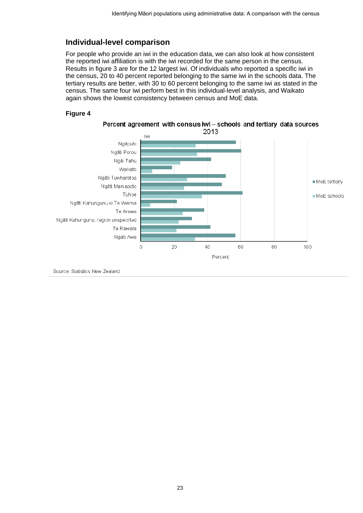#### **Individual-level comparison**

For people who provide an iwi in the education data, we can also look at how consistent the reported iwi affiliation is with the iwi recorded for the same person in the census. Results in figure 3 are for the 12 largest iwi. Of individuals who reported a specific iwi in the census, 20 to 40 percent reported belonging to the same iwi in the schools data. The tertiary results are better, with 30 to 60 percent belonging to the same iwi as stated in the census. The same four iwi perform best in this individual-level analysis, and Waikato again shows the lowest consistency between census and MoE data.

#### <span id="page-22-1"></span>**Figure 4**



<span id="page-22-0"></span>Source: Statistics New Zealand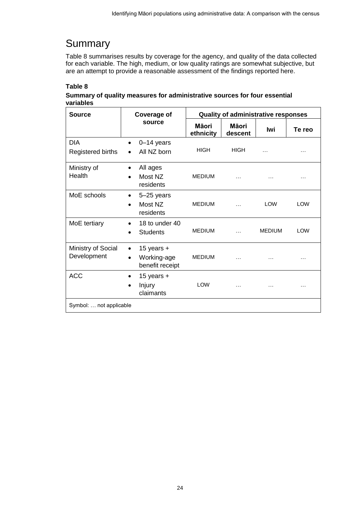## **Summary**

Table 8 summarises results by coverage for the agency, and quality of the data collected for each variable. The high, medium, or low quality ratings are somewhat subjective, but are an attempt to provide a reasonable assessment of the findings reported here.

#### **Table 8**

#### <span id="page-23-0"></span>Summary of quality measures for administrative sources for four essential **variables**

| <b>Source</b>                     | Coverage of                                                 | <b>Quality of administrative responses</b> |                  |               |            |  |  |
|-----------------------------------|-------------------------------------------------------------|--------------------------------------------|------------------|---------------|------------|--|--|
|                                   | source                                                      | Māori<br>ethnicity                         | Māori<br>descent | lwi           | Te reo     |  |  |
| <b>DIA</b><br>Registered births   | $0-14$ years<br>All NZ born                                 | <b>HIGH</b>                                | <b>HIGH</b>      | $\cdots$      |            |  |  |
| Ministry of<br>Health             | All ages<br>٠<br>Most NZ<br>residents                       | <b>MEDIUM</b>                              | $\cdots$         | .             |            |  |  |
| MoE schools                       | 5-25 years<br>$\bullet$<br>Most NZ<br>residents             | <b>MEDIUM</b>                              | $\cdots$         | <b>LOW</b>    | <b>LOW</b> |  |  |
| MoE tertiary                      | 18 to under 40<br><b>Students</b>                           | <b>MEDIUM</b>                              |                  | <b>MEDIUM</b> | <b>LOW</b> |  |  |
| Ministry of Social<br>Development | 15 years $+$<br>$\bullet$<br>Working-age<br>benefit receipt | <b>MEDIUM</b>                              |                  |               |            |  |  |
| <b>ACC</b>                        | 15 years $+$<br>$\bullet$<br>Injury<br>claimants            | <b>LOW</b>                                 | .                | .             |            |  |  |
| Symbol:  not applicable           |                                                             |                                            |                  |               |            |  |  |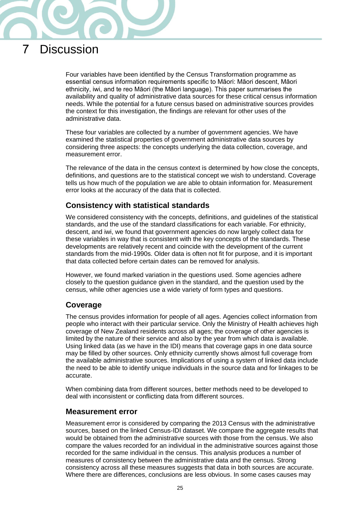

## <span id="page-24-0"></span>7 Discussion

Four variables have been identified by the Census Transformation programme as essential census information requirements specific to Māori: Māori descent, Māori ethnicity, iwi, and te reo Māori (the Māori language). This paper summarises the availability and quality of administrative data sources for these critical census information needs. While the potential for a future census based on administrative sources provides the context for this investigation, the findings are relevant for other uses of the administrative data.

These four variables are collected by a number of government agencies. We have examined the statistical properties of government administrative data sources by considering three aspects: the concepts underlying the data collection, coverage, and measurement error.

The relevance of the data in the census context is determined by how close the concepts, definitions, and questions are to the statistical concept we wish to understand. Coverage tells us how much of the population we are able to obtain information for. Measurement error looks at the accuracy of the data that is collected.

#### **Consistency with statistical standards**

We considered consistency with the concepts, definitions, and guidelines of the statistical standards, and the use of the standard classifications for each variable. For ethnicity, descent, and iwi, we found that government agencies do now largely collect data for these variables in way that is consistent with the key concepts of the standards. These developments are relatively recent and coincide with the development of the current standards from the mid-1990s. Older data is often not fit for purpose, and it is important that data collected before certain dates can be removed for analysis.

However, we found marked variation in the questions used. Some agencies adhere closely to the question guidance given in the standard, and the question used by the census, while other agencies use a wide variety of form types and questions.

#### **Coverage**

The census provides information for people of all ages. Agencies collect information from people who interact with their particular service. Only the Ministry of Health achieves high coverage of New Zealand residents across all ages; the coverage of other agencies is limited by the nature of their service and also by the year from which data is available. Using linked data (as we have in the IDI) means that coverage gaps in one data source may be filled by other sources. Only ethnicity currently shows almost full coverage from the available administrative sources. Implications of using a system of linked data include the need to be able to identify unique individuals in the source data and for linkages to be accurate.

When combining data from different sources, better methods need to be developed to deal with inconsistent or conflicting data from different sources.

#### **Measurement error**

Measurement error is considered by comparing the 2013 Census with the administrative sources, based on the linked Census-IDI dataset. We compare the aggregate results that would be obtained from the administrative sources with those from the census. We also compare the values recorded for an individual in the administrative sources against those recorded for the same individual in the census. This analysis produces a number of measures of consistency between the administrative data and the census. Strong consistency across all these measures suggests that data in both sources are accurate. Where there are differences, conclusions are less obvious. In some cases causes may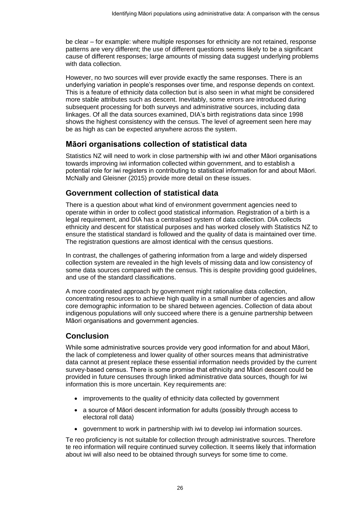be clear – for example: where multiple responses for ethnicity are not retained, response patterns are very different; the use of different questions seems likely to be a significant cause of different responses; large amounts of missing data suggest underlying problems with data collection.

However, no two sources will ever provide exactly the same responses. There is an underlying variation in people's responses over time, and response depends on context. This is a feature of ethnicity data collection but is also seen in what might be considered more stable attributes such as descent. Inevitably, some errors are introduced during subsequent processing for both surveys and administrative sources, including data linkages. Of all the data sources examined, DIA's birth registrations data since 1998 shows the highest consistency with the census. The level of agreement seen here may be as high as can be expected anywhere across the system.

#### **Māori organisations collection of statistical data**

Statistics NZ will need to work in close partnership with iwi and other Māori organisations towards improving iwi information collected within government, and to establish a potential role for iwi registers in contributing to statistical information for and about Māori. McNally and Gleisner (2015) provide more detail on these issues.

#### **Government collection of statistical data**

There is a question about what kind of environment government agencies need to operate within in order to collect good statistical information. Registration of a birth is a legal requirement, and DIA has a centralised system of data collection. DIA collects ethnicity and descent for statistical purposes and has worked closely with Statistics NZ to ensure the statistical standard is followed and the quality of data is maintained over time. The registration questions are almost identical with the census questions.

In contrast, the challenges of gathering information from a large and widely dispersed collection system are revealed in the high levels of missing data and low consistency of some data sources compared with the census. This is despite providing good guidelines, and use of the standard classifications.

A more coordinated approach by government might rationalise data collection, concentrating resources to achieve high quality in a small number of agencies and allow core demographic information to be shared between agencies. Collection of data about indigenous populations will only succeed where there is a genuine partnership between Māori organisations and government agencies.

#### **Conclusion**

While some administrative sources provide very good information for and about Māori, the lack of completeness and lower quality of other sources means that administrative data cannot at present replace these essential information needs provided by the current survey-based census. There is some promise that ethnicity and Māori descent could be provided in future censuses through linked administrative data sources, though for iwi information this is more uncertain. Key requirements are:

- improvements to the quality of ethnicity data collected by government
- a source of Māori descent information for adults (possibly through access to electoral roll data)
- government to work in partnership with iwi to develop iwi information sources.

Te reo proficiency is not suitable for collection through administrative sources. Therefore te reo information will require continued survey collection. It seems likely that information about iwi will also need to be obtained through surveys for some time to come.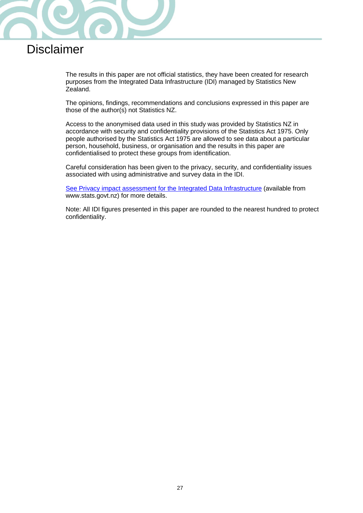

## <span id="page-26-0"></span>Disclaimer

The results in this paper are not official statistics, they have been created for research purposes from the Integrated Data Infrastructure (IDI) managed by Statistics New Zealand.

The opinions, findings, recommendations and conclusions expressed in this paper are those of the author(s) not Statistics NZ.

Access to the anonymised data used in this study was provided by Statistics NZ in accordance with security and confidentiality provisions of the Statistics Act 1975. Only people authorised by the Statistics Act 1975 are allowed to see data about a particular person, household, business, or organisation and the results in this paper are confidentialised to protect these groups from identification.

Careful consideration has been given to the privacy, security, and confidentiality issues associated with using administrative and survey data in the IDI.

[See Privacy impact assessment for the Integrated Data Infrastructure](http://www.stats.govt.nz/browse_for_stats/snapshots-of-nz/integrated-data-infrastructure/privacy-impact-assessment-for-the-idi.aspx) (available from www.stats.govt.nz) for more details.

Note: All IDI figures presented in this paper are rounded to the nearest hundred to protect confidentiality.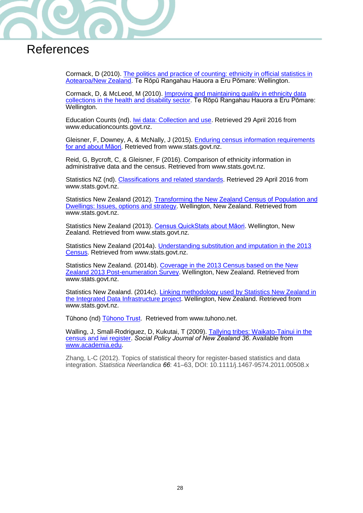

## <span id="page-27-0"></span>**References**

Cormack, D (2010). [The politics and practice of counting: ethnicity in official statistics in](http://natlib.govt.nz/records/21760040?search%5Bpath%5D=items&search%5Btext%5D=The+politics+and+practice+of+counting%3A+ethnicity+in+official+statistics+in+Aotearoa%2FNew+Zealand.)  [Aotearoa/New Zealand.](http://natlib.govt.nz/records/21760040?search%5Bpath%5D=items&search%5Btext%5D=The+politics+and+practice+of+counting%3A+ethnicity+in+official+statistics+in+Aotearoa%2FNew+Zealand.) Te Rōpū Rangahau Hauora a Eru Pōmare: Wellington.

Cormack, D, & McLeod, M (2010). [Improving and maintaining quality in ethnicity data](http://natlib.govt.nz/records/22945073?search%5Bpath%5D=items&search%5Btext%5D=Improving+and+maintaining+quality+in+ethnicity+data+collections+in+the+health+and+disability+sector)  [collections in the health and disability sector.](http://natlib.govt.nz/records/22945073?search%5Bpath%5D=items&search%5Btext%5D=Improving+and+maintaining+quality+in+ethnicity+data+collections+in+the+health+and+disability+sector) Te Rōpū Rangahau Hauora a Eru Pōmare: Wellington.

Education Counts (nd). [Iwi data: Collection and use.](http://www.educationcounts.govt.nz/data-services/collecting-information/code-sets-and-classifications/iwi_data__collection_and_use) Retrieved 29 April 2016 from www.educationcounts.govt.nz.

Gleisner, F, Downey, A, & McNally, J (2015). [Enduring census information requirements](http://www.stats.govt.nz/methods/research-papers/enduring-census-requirements-maori.aspx)  [for and about Māori](http://www.stats.govt.nz/methods/research-papers/enduring-census-requirements-maori.aspx)*.* Retrieved from www.stats.govt.nz.

Reid, G, Bycroft, C, & Gleisner, F (2016). Comparison of ethnicity information in administrative data and the census. Retrieved from www.stats.govt.nz.

Statistics NZ (nd). [Classifications and related standards.](http://www.stats.govt.nz/methods/classifications-and-standards/classification-related-stats-standards.aspx) Retrieved 29 April 2016 from www.stats.govt.nz.

Statistics New Zealand (2012). Transforming the New Zealand Census of Population and Dwellings: Issues, options and strategy. Wellington, New Zealand. Retrieved from www.stats.govt.nz.

Statistics New Zealand (2013). [Census QuickStats about Māori.](http://www.stats.govt.nz/Census/2013-census/profile-and-summary-reports/quickstats-about-maori-english.aspx) Wellington, New Zealand. Retrieved from www.stats.govt.nz.

Statistics New Zealand (2014a). [Understanding substitution and imputation in the 2013](http://www.stats.govt.nz/Census/2013-census/methodology/substitution-and-imputation.aspx)  [Census.](http://www.stats.govt.nz/Census/2013-census/methodology/substitution-and-imputation.aspx) Retrieved from www.stats.govt.nz.

Statistics New Zealand. (2014b). [Coverage in the 2013 Census based on the New](http://www.stats.govt.nz/browse_for_stats/population/census_counts/report-on-2013-post-enumeration-survey.aspx)  [Zealand 2013 Post-enumeration Survey.](http://www.stats.govt.nz/browse_for_stats/population/census_counts/report-on-2013-post-enumeration-survey.aspx) Wellington, New Zealand. Retrieved from www.stats.govt.nz.

Statistics New Zealand. (2014c). [Linking methodology used by Statistics New Zealand in](http://www.stats.govt.nz/browse_for_stats/snapshots-of-nz/integrated-data-infrastructure/linking-methodology-statsnz-idi.aspx)  [the Integrated Data Infrastructure project.](http://www.stats.govt.nz/browse_for_stats/snapshots-of-nz/integrated-data-infrastructure/linking-methodology-statsnz-idi.aspx) Wellington, New Zealand. Retrieved from www.stats.govt.nz.

Tūhono (nd) [Tūhono Trust.](http://www.tuhono.net/en/about-tuhono) Retrieved from www.tuhono.net.

Walling, J, Small-Rodriguez, D, Kukutai, T (2009). [Tallying tribes: Waikato-Tainui in the](https://www.msd.govt.nz/about-msd-and-our-work/publications-resources/journals-and-magazines/social-policy-journal/spj36/36-tallying-tribes.html)  [census and iwi register.](https://www.msd.govt.nz/about-msd-and-our-work/publications-resources/journals-and-magazines/social-policy-journal/spj36/36-tallying-tribes.html) *Social Policy Journal of New Zealand 36*. Available from [www.academia.edu.](http://www.academia.edu/)

Zhang, L-C (2012). Topics of statistical theory for register-based statistics and data integration. *Statistica Neerlandica 66*: 41–63, DOI: 10.1111/j.1467-9574.2011.00508.x